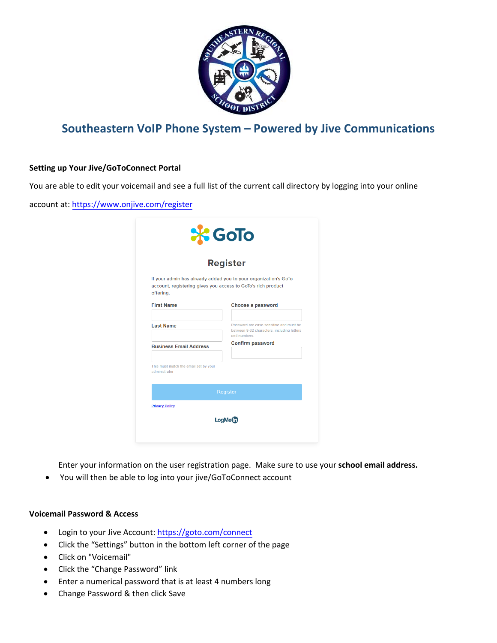

# **Southeastern VoIP Phone System – Powered by Jive Communications**

# **Setting up Your Jive/GoToConnect Portal**

You are able to edit your voicemail and see a full list of the current call directory by logging into your online

account at: <https://www.onjive.com/register>

| <b>Register</b>                                                           |                                                                                                      |
|---------------------------------------------------------------------------|------------------------------------------------------------------------------------------------------|
| account, registering gives you access to GoTo's rich product<br>offering. | If your admin has already added you to your organization's GoTo                                      |
| <b>First Name</b>                                                         | Choose a password                                                                                    |
| <b>Last Name</b>                                                          | Password are case-sensitive and must be<br>between 8-32 characters, including letters<br>and numbers |
| <b>Business Email Address</b>                                             | <b>Confirm password</b>                                                                              |
| This must match the email set by your<br>administrator                    |                                                                                                      |
|                                                                           | <b>Register</b>                                                                                      |

Enter your information on the user registration page. Make sure to use your **school email address.**

• You will then be able to log into your jive/GoToConnect account

### **Voicemail Password & Access**

- Login to your Jive Account: <https://goto.com/connect>
- Click the "Settings" button in the bottom left corner of the page
- Click on "Voicemail"
- Click the "Change Password" link
- Enter a numerical password that is at least 4 numbers long
- Change Password & then click Save